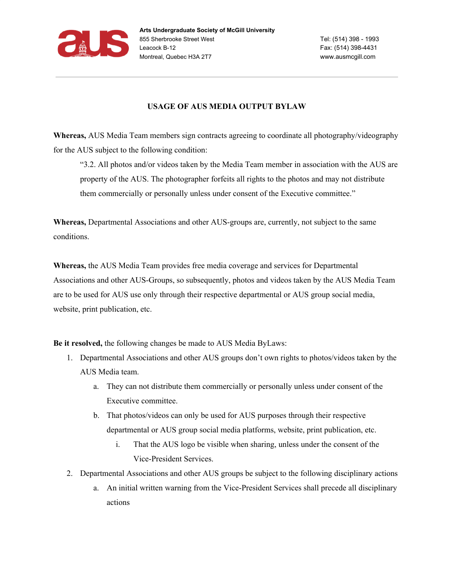

## **USAGE OF AUS MEDIA OUTPUT BYLAW**

**Whereas,** AUS Media Team members sign contracts agreeing to coordinate all photography/videography for the AUS subject to the following condition:

"3.2. All photos and/or videos taken by the Media Team member in association with the AUS are property of the AUS. The photographer forfeits all rights to the photos and may not distribute them commercially or personally unless under consent of the Executive committee."

**Whereas,** Departmental Associations and other AUS-groups are, currently, not subject to the same conditions.

**Whereas,** the AUS Media Team provides free media coverage and services for Departmental Associations and other AUS-Groups, so subsequently, photos and videos taken by the AUS Media Team are to be used for AUS use only through their respective departmental or AUS group social media, website, print publication, etc.

**Be it resolved,** the following changes be made to AUS Media ByLaws:

- 1. Departmental Associations and other AUS groups don't own rights to photos/videos taken by the AUS Media team.
	- a. They can not distribute them commercially or personally unless under consent of the Executive committee.
	- b. That photos/videos can only be used for AUS purposes through their respective departmental or AUS group social media platforms, website, print publication, etc.
		- i. That the AUS logo be visible when sharing, unless under the consent of the Vice-President Services.
- 2. Departmental Associations and other AUS groups be subject to the following disciplinary actions
	- a. An initial written warning from the Vice-President Services shall precede all disciplinary actions